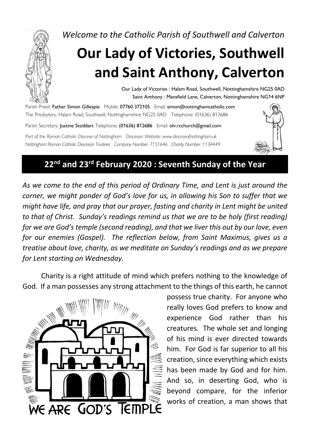*Welcome to the Catholic Parish of Southwell and Calverton*

# **Our Lady of Victories, Southwell and Saint Anthony, Calverton**

Our Lady of Victories : Halam Road, Southwell, Nottinghamshire NG25 0AD Saint Anthony : Mansfield Lane, Calverton, Nottinghamshire NG14 6NP

Parish Priest: Father Simon Gillespie Mobile: 07760 372105 Email: simon@nottinghamcatholic.com The Presbytery, Halam Road, Southwell, Nottinghamshire NG25 0AD Telephone: (01636) 812686

Parish Secretary: Justine Stoddart Telephone: (01636) 812686 Email: olv.rcchurch@gmail.com

*Part of the Roman Catholic Diocese of Nottingham Diocesan Website: www.dioceseofnottingham.uk Nottingham Roman Catholic Diocesan Trustees Company Number: 7151646 Charity Number: 1134449*



## **22nd and 23rd February 2020 : Seventh Sunday of the Year**

*As we come to the end of this period of Ordinary Time, and Lent is just around the corner, we might ponder of God's love for us, in allowing his Son to suffer that we might have life, and pray that our prayer, fasting and charity in Lent might be united to that of Christ. Sunday's readings remind us that we are to be holy (first reading) for we are God's temple (second reading), and that we liver this out by our love, even for our enemies (Gospel). The reflection below, from Saint Maximus, gives us a treatise about love, charity, as we meditate on Sunday's readings and as we prepare for Lent starting on Wednesday.*

Charity is a right attitude of mind which prefers nothing to the knowledge of God. If a man possesses any strong attachment to the things of this earth, he cannot



possess true charity. For anyone who really loves God prefers to know and experience God rather than his creatures. The whole set and longing of his mind is ever directed towards him. For God is far superior to all his creation, since everything which exists has been made by God and for him. And so, in deserting God, who is beyond compare, for the inferior works of creation, a man shows that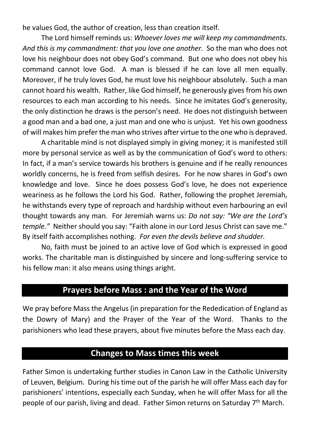he values God, the author of creation, less than creation itself.

The Lord himself reminds us: *Whoever loves me will keep my commandments. And this is my commandment: that you love one another.* So the man who does not love his neighbour does not obey God's command. But one who does not obey his command cannot love God. A man is blessed if he can love all men equally. Moreover, if he truly loves God, he must love his neighbour absolutely. Such a man cannot hoard his wealth. Rather, like God himself, he generously gives from his own resources to each man according to his needs. Since he imitates God's generosity, the only distinction he draws is the person's need. He does not distinguish between a good man and a bad one, a just man and one who is unjust. Yet his own goodness of will makes him prefer the man who strives after virtue to the one who is depraved.

A charitable mind is not displayed simply in giving money; it is manifested still more by personal service as well as by the communication of God's word to others: In fact, if a man's service towards his brothers is genuine and if he really renounces worldly concerns, he is freed from selfish desires. For he now shares in God's own knowledge and love. Since he does possess God's love, he does not experience weariness as he follows the Lord his God. Rather, following the prophet Jeremiah, he withstands every type of reproach and hardship without even harbouring an evil thought towards any man. For Jeremiah warns us: *Do not say: "We are the Lord's temple."* Neither should you say: "Faith alone in our Lord Jesus Christ can save me." By itself faith accomplishes nothing. *For even the devils believe and shudder.*

No, faith must be joined to an active love of God which is expressed in good works. The charitable man is distinguished by sincere and long-suffering service to his fellow man: it also means using things aright.

#### **Prayers before Mass : and the Year of the Word**

We pray before Mass the Angelus (in preparation for the Rededication of England as the Dowry of Mary) and the Prayer of the Year of the Word. Thanks to the parishioners who lead these prayers, about five minutes before the Mass each day.

#### **Changes to Mass times this week**

Father Simon is undertaking further studies in Canon Law in the Catholic University of Leuven, Belgium. During his time out of the parish he will offer Mass each day for parishioners' intentions, especially each Sunday, when he will offer Mass for all the people of our parish, living and dead. Father Simon returns on Saturday 7<sup>th</sup> March.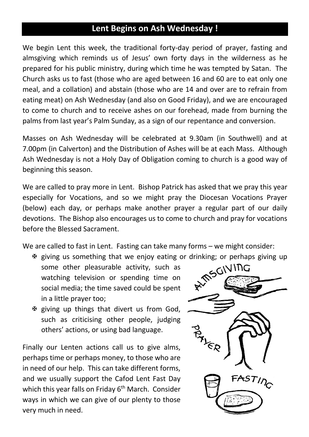## **Lent Begins on Ash Wednesday !**

We begin Lent this week, the traditional forty-day period of prayer, fasting and almsgiving which reminds us of Jesus' own forty days in the wilderness as he prepared for his public ministry, during which time he was tempted by Satan. The Church asks us to fast (those who are aged between 16 and 60 are to eat only one meal, and a collation) and abstain (those who are 14 and over are to refrain from eating meat) on Ash Wednesday (and also on Good Friday), and we are encouraged to come to church and to receive ashes on our forehead, made from burning the palms from last year's Palm Sunday, as a sign of our repentance and conversion.

Masses on Ash Wednesday will be celebrated at 9.30am (in Southwell) and at 7.00pm (in Calverton) and the Distribution of Ashes will be at each Mass. Although Ash Wednesday is not a Holy Day of Obligation coming to church is a good way of beginning this season.

We are called to pray more in Lent. Bishop Patrick has asked that we pray this year especially for Vocations, and so we might pray the Diocesan Vocations Prayer (below) each day, or perhaps make another prayer a regular part of our daily devotions. The Bishop also encourages us to come to church and pray for vocations before the Blessed Sacrament.

We are called to fast in Lent. Fasting can take many forms – we might consider:

- we giving us something that we enjoy eating or drinking; or perhaps giving up<br>some other pleasurable activity, such as<br>watching television or spending time or some other pleasurable activity, such as watching television or spending time on social media; the time saved could be spent in a little prayer too;
- $\mathfrak F$  giving up things that divert us from God, such as criticising other people, judging others' actions, or using bad language.

Finally our Lenten actions call us to give alms, perhaps time or perhaps money, to those who are in need of our help. This can take different forms, and we usually support the Cafod Lent Fast Day which this year falls on Friday 6<sup>th</sup> March. Consider ways in which we can give of our plenty to those very much in need.

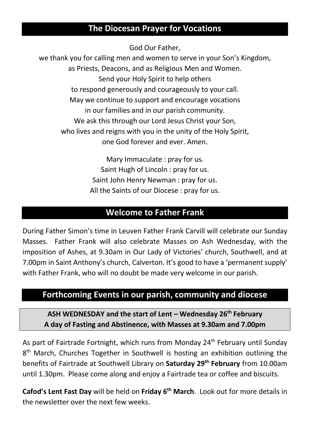## **The Diocesan Prayer for Vocations**

God Our Father,

we thank you for calling men and women to serve in your Son's Kingdom, as Priests, Deacons, and as Religious Men and Women. Send your Holy Spirit to help others to respond generously and courageously to your call. May we continue to support and encourage vocations in our families and in our parish community. We ask this through our Lord Jesus Christ your Son, who lives and reigns with you in the unity of the Holy Spirit, one God forever and ever. Amen.

> Mary Immaculate : pray for us. Saint Hugh of Lincoln : pray for us. Saint John Henry Newman : pray for us. All the Saints of our Diocese : pray for us.

#### **Welcome to Father Frank**

During Father Simon's time in Leuven Father Frank Carvill will celebrate our Sunday Masses. Father Frank will also celebrate Masses on Ash Wednesday, with the imposition of Ashes, at 9.30am in Our Lady of Victories' church, Southwell, and at 7.00pm in Saint Anthony's church, Calverton. It's good to have a 'permanent supply' with Father Frank, who will no doubt be made very welcome in our parish.

#### **Forthcoming Events in our parish, community and diocese**

**ASH WEDNESDAY and the start of Lent – Wednesday 26th February A day of Fasting and Abstinence, with Masses at 9.30am and 7.00pm**

As part of Fairtrade Fortnight, which runs from Monday 24<sup>th</sup> February until Sunday 8<sup>th</sup> March, Churches Together in Southwell is hosting an exhibition outlining the benefits of Fairtrade at Southwell Library on **Saturday 29th February** from 10.00am until 1.30pm. Please come along and enjoy a Fairtrade tea or coffee and biscuits.

**Cafod's Lent Fast Day** will be held on **Friday 6th March**. Look out for more details in the newsletter over the next few weeks.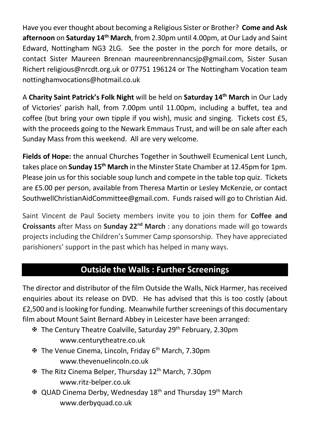Have you ever thought about becoming a Religious Sister or Brother? **Come and Ask afternoon** on **Saturday 14th March**, from 2.30pm until 4.00pm, at Our Lady and Saint Edward, Nottingham NG3 2LG. See the poster in the porch for more details, or contact Sister Maureen Brennan maureenbrennancsjp@gmail.com, Sister Susan Richert religious@nrcdt.org.uk or 07751 196124 or The Nottingham Vocation team nottinghamvocations@hotmail.co.uk

A **Charity Saint Patrick's Folk Night** will be held on **Saturday 14th March** in Our Lady of Victories' parish hall, from 7.00pm until 11.00pm, including a buffet, tea and coffee (but bring your own tipple if you wish), music and singing. Tickets cost £5, with the proceeds going to the Newark Emmaus Trust, and will be on sale after each Sunday Mass from this weekend. All are very welcome.

**Fields of Hope:** the annual Churches Together in Southwell Ecumenical Lent Lunch, takes place on **Sunday 15th March** in the Minster State Chamber at 12.45pm for 1pm. Please join us for this sociable soup lunch and compete in the table top quiz. Tickets are £5.00 per person, available from Theresa Martin or Lesley McKenzie, or contact SouthwellChristianAidCommittee@gmail.com. Funds raised will go to Christian Aid.

Saint Vincent de Paul Society members invite you to join them for **Coffee and Croissants** after Mass on **Sunday 22nd March** : any donations made will go towards projects including the Children's Summer Camp sponsorship. They have appreciated parishioners' support in the past which has helped in many ways.

## **Outside the Walls : Further Screenings**

The director and distributor of the film Outside the Walls, Nick Harmer, has received enquiries about its release on DVD. He has advised that this is too costly (about £2,500 and is looking for funding. Meanwhile further screenings of this documentary film about Mount Saint Bernard Abbey in Leicester have been arranged:

- X The Century Theatre Coalville, Saturday 29th February, 2.30pm www.centurytheatre.co.uk
- X The Venue Cinema, Lincoln, Friday 6th March, 7.30pm www.thevenuelincoln.co.uk
- X The Ritz Cinema Belper, Thursday 12th March, 7.30pm www.ritz-belper.co.uk
- X QUAD Cinema Derby, Wednesday 18th and Thursday 19th March www.derbyquad.co.uk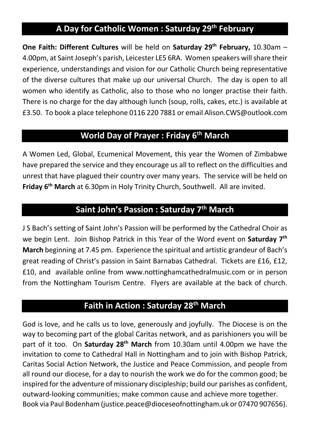## **A Day for Catholic Women : Saturday 29th February**

**One Faith: Different Cultures** will be held on **Saturday 29<sup>th</sup> February,** 10.30am – 4.00pm, at Saint Joseph's parish, Leicester LE5 6RA. Women speakers will share their experience, understandings and vision for our Catholic Church being representative of the diverse cultures that make up our universal Church. The day is open to all women who identify as Catholic, also to those who no longer practise their faith. There is no charge for the day although lunch (soup, rolls, cakes, etc.) is available at £3.50. To book a place telephone 0116 220 7881 or email Alison.CWS@outlook.com

## **World Day of Prayer : Friday 6th March**

A Women Led, Global, Ecumenical Movement, this year the Women of Zimbabwe have prepared the service and they encourage us all to reflect on the difficulties and unrest that have plagued their country over many years. The service will be held on **Friday 6th March** at 6.30pm in Holy Trinity Church, Southwell. All are invited.

#### **Saint John's Passion : Saturday 7th March**

J S Bach's setting of Saint John's Passion will be performed by the Cathedral Choir as we begin Lent. Join Bishop Patrick in this Year of the Word event on **Saturday 7th March** beginning at 7.45 pm. Experience the spiritual and artistic grandeur of Bach's great reading of Christ's passion in Saint Barnabas Cathedral. Tickets are £16, £12, £10, and available online from www.nottinghamcathedralmusic.com or in person from the Nottingham Tourism Centre. Flyers are available at the back of church.

## **Faith in Action : Saturday 28th March**

God is love, and he calls us to love, generously and joyfully. The Diocese is on the way to becoming part of the global Caritas network, and as parishioners you will be part of it too. On **Saturday 28th March** from 10.30am until 4.00pm we have the invitation to come to Cathedral Hall in Nottingham and to join with Bishop Patrick, Caritas Social Action Network, the Justice and Peace Commission, and people from all round our diocese, for a day to nourish the work we do for the common good; be inspired for the adventure of missionary discipleship; build our parishes as confident, outward-looking communities; make common cause and achieve more together. Book via Paul Bodenham (justice.peace@dioceseofnottingham.uk or 07470 907656).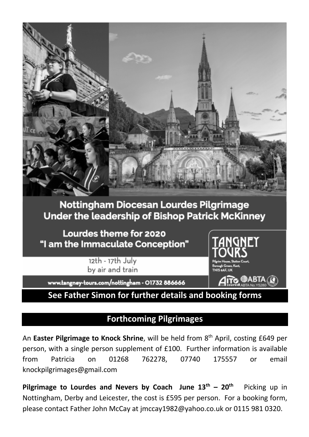

## **Nottingham Diocesan Lourdes Pilgrimage Under the leadership of Bishop Patrick McKinney**

Lourdes theme for 2020 "I am the Immaculate Conception"

> 12th - 17th July by air and train



www.tangney-tours.com/nottingham - 01732 886666

**See Father Simon for further details and booking forms**

#### **Forthcoming Pilgrimages**

An **Easter Pilgrimage to Knock Shrine**, will be held from 8th April, costing £649 per person, with a single person supplement of £100. Further information is available from Patricia on 01268 762278, 07740 175557 or email knockpilgrimages@gmail.com

**Pilgrimage to Lourdes and Nevers by Coach June**  $13^{th}$  **–**  $20^{th}$  **Picking up in** Nottingham, Derby and Leicester, the cost is £595 per person. For a booking form, please contact Father John McCay at jmccay1982@yahoo.co.uk or 0115 981 0320.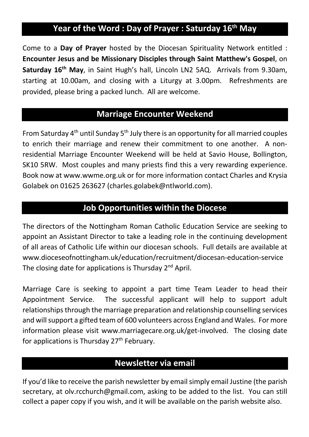## **Year of the Word : Day of Prayer : Saturday 16th May**

Come to a **Day of Prayer** hosted by the Diocesan Spirituality Network entitled : **Encounter Jesus and be Missionary Disciples through Saint Matthew's Gospel**, on **Saturday 16th May**, in Saint Hugh's hall, Lincoln LN2 5AQ. Arrivals from 9.30am, starting at 10.00am, and closing with a Liturgy at 3.00pm. Refreshments are provided, please bring a packed lunch. All are welcome.

## **Marriage Encounter Weekend**

From Saturday 4th until Sunday 5th July there is an opportunity for all married couples to enrich their marriage and renew their commitment to one another. A nonresidential Marriage Encounter Weekend will be held at Savio House, Bollington, SK10 5RW. Most couples and many priests find this a very rewarding experience. Book now at www.wwme.org.uk or for more information contact Charles and Krysia Golabek on 01625 263627 (charles.golabek@ntlworld.com).

#### **Job Opportunities within the Diocese**

The directors of the Nottingham Roman Catholic Education Service are seeking to appoint an Assistant Director to take a leading role in the continuing development of all areas of Catholic Life within our diocesan schools. Full details are available at www.dioceseofnottingham.uk/education/recruitment/diocesan-education-service The closing date for applications is Thursday  $2^{nd}$  April.

Marriage Care is seeking to appoint a part time Team Leader to head their Appointment Service. The successful applicant will help to support adult relationships through the marriage preparation and relationship counselling services and will support a gifted team of 600 volunteers across England and Wales. For more information please visit www.marriagecare.org.uk/get-involved. The closing date for applications is Thursday  $27<sup>th</sup>$  February.

#### **Newsletter via email**

If you'd like to receive the parish newsletter by email simply email Justine (the parish secretary, at olv.rcchurch@gmail.com, asking to be added to the list. You can still collect a paper copy if you wish, and it will be available on the parish website also.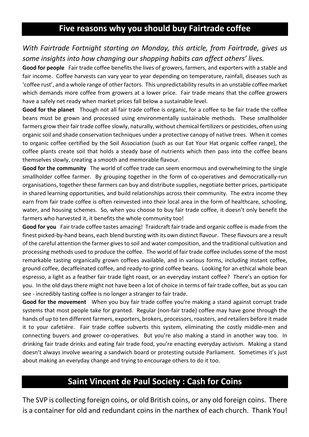## **Five reasons why you should buy Fairtrade coffee**

#### *With Fairtrade Fortnight starting on Monday, this article, from Fairtrade, gives us some insights into how changing our shopping habits can affect others' lives.*

**Good for people** Fair trade coffee benefits the lives of growers, farmers, and exporters with a stable and fair income. Coffee harvests can vary year to year depending on temperature, rainfall, diseases such as 'coffee rust', and a whole range of other factors. This unpredictability results in an unstable coffee market which demands more coffee from growers at a lower price. Fair trade means that the coffee growers have a safely net ready when market prices fall below a sustainable level.

**Good for the planet** Though not all fair trade coffee is organic, for a coffee to be fair trade the coffee beans must be grown and processed using environmentally sustainable methods. These smallholder farmers grow their fair trade coffee slowly, naturally, without chemical fertilizers or pesticides, often using organic soil and shade conservation techniques under a protective canopy of native trees. When it comes to organic coffee certified by the Soil Association (such as our Eat Your Hat organic coffee range), the coffee plants create soil that holds a steady base of nutrients which then pass into the coffee beans themselves slowly, creating a smooth and memorable flavour.

**Good for the community** The world of coffee trade can seem enormous and overwhelming to the single smallholder coffee farmer. By grouping together in the form of co-operatives and democratically-run organisations, together these farmers can buy and distribute supplies, negotiate better prices, participate in shared learning opportunities, and build relationships across their community. The extra income they earn from fair trade coffee is often reinvested into their local area in the form of healthcare, schooling, water, and housing schemes. So, when you choose to buy fair trade coffee, it doesn't only benefit the farmers who harvested it, it benefits the whole community too!

**Good for you** Fair trade coffee tastes amazing! Traidcraft fair trade and organic coffee is made from the finest picked-by-hand beans, each blend bursting with its own distinct flavour. These flavours are a result of the careful attention the farmer gives to soil and water composition, and the traditional cultivation and processing methods used to produce the coffee. The world of fair trade coffee includes some of the most remarkable tasting organically grown coffees available, and in various forms, including instant coffee, ground coffee, decaffeinated coffee, and ready-to-grind coffee beans. Looking for an ethical whole bean espresso, a light as a feather fair trade light roast, or an everyday instant coffee? There's an option for you. In the old days there might not have been a lot of choice in terms of fair trade coffee, but as you can see - incredibly tasting coffee is no longer a stranger to fair trade.

**Good for the movement** When you buy fair trade coffee you're making a stand against corrupt trade systems that most people take for granted. Regular (non-fair trade) coffee may have gone through the hands of up to ten different farmers, exporters, brokers, processors, roasters, and retailers before it made it to your cafetière. Fair trade coffee subverts this system, eliminating the costly middle-men and connecting buyers and grower co-operatives. But you're also making a stand in another way too. In drinking fair trade drinks and eating fair trade food, you're enacting everyday activism. Making a stand doesn't always involve wearing a sandwich board or protesting outside Parliament. Sometimes it's just about making an everyday change and trying to encourage others to do it too.

#### **Saint Vincent de Paul Society : Cash for Coins**

The SVP is collecting foreign coins, or old British coins, or any old foreign coins. There is a container for old and redundant coins in the narthex of each church. Thank You!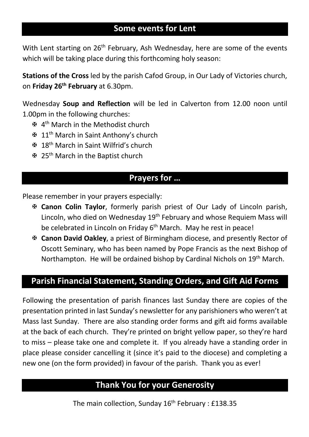## **Some events for Lent**

With Lent starting on 26<sup>th</sup> February, Ash Wednesday, here are some of the events which will be taking place during this forthcoming holy season:

**Stations of the Cross** led by the parish Cafod Group, in Our Lady of Victories church, on **Friday 26th February** at 6.30pm.

Wednesday **Soup and Reflection** will be led in Calverton from 12.00 noon until 1.00pm in the following churches:

- X 4th March in the Methodist church
- X 11th March in Saint Anthony's church
- X 18th March in Saint Wilfrid's church
- 图 25<sup>th</sup> March in the Baptist church

#### **Prayers for …**

Please remember in your prayers especially:

- X **Canon Colin Taylor**, formerly parish priest of Our Lady of Lincoln parish, Lincoln, who died on Wednesday 19<sup>th</sup> February and whose Requiem Mass will be celebrated in Lincoln on Friday  $6<sup>th</sup>$  March. May he rest in peace!
- X **Canon David Oakley**, a priest of Birmingham diocese, and presently Rector of Oscott Seminary, who has been named by Pope Francis as the next Bishop of Northampton. He will be ordained bishop by Cardinal Nichols on 19<sup>th</sup> March.

#### **Parish Financial Statement, Standing Orders, and Gift Aid Forms**

Following the presentation of parish finances last Sunday there are copies of the presentation printed in last Sunday's newsletter for any parishioners who weren't at Mass last Sunday. There are also standing order forms and gift aid forms available at the back of each church. They're printed on bright yellow paper, so they're hard to miss – please take one and complete it. If you already have a standing order in place please consider cancelling it (since it's paid to the diocese) and completing a new one (on the form provided) in favour of the parish. Thank you as ever!

## **Thank You for your Generosity**

The main collection, Sunday 16<sup>th</sup> February : £138.35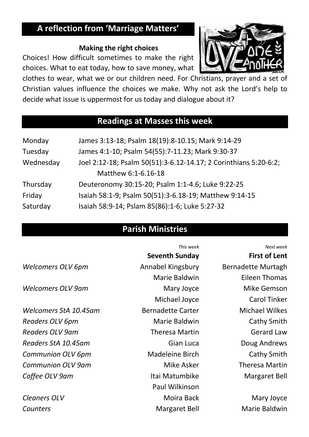# **A reflection from 'Marriage Matters'**

#### **Making the right choices**

Choices! How difficult sometimes to make the right choices. What to eat today, how to save money, what



clothes to wear, what we or our children need. For Christians, prayer and a set of Christian values influence the choices we make. Why not ask the Lord's help to decide what issue is uppermost for us today and dialogue about it?

## **Readings at Masses this week**

| Monday    | James 3:13-18; Psalm 18(19):8-10.15; Mark 9:14-29                |  |  |
|-----------|------------------------------------------------------------------|--|--|
| Tuesday   | James 4:1-10; Psalm 54(55):7-11.23; Mark 9:30-37                 |  |  |
| Wednesday | Joel 2:12-18; Psalm 50(51):3-6.12-14.17; 2 Corinthians 5:20-6:2; |  |  |
|           | Matthew 6:1-6.16-18                                              |  |  |
| Thursday  | Deuteronomy 30:15-20; Psalm 1:1-4.6; Luke 9:22-25                |  |  |
| Friday    | Isaiah 58:1-9; Psalm 50(51):3-6.18-19; Matthew 9:14-15           |  |  |
| Saturday  | Isaiah 58:9-14; Pslam 85(86):1-6; Luke 5:27-32                   |  |  |

## **Parish Ministries**

|                          | This week                | Next week                 |
|--------------------------|--------------------------|---------------------------|
|                          | <b>Seventh Sunday</b>    | <b>First of Lent</b>      |
| Welcomers OLV 6pm        | Annabel Kingsbury        | <b>Bernadette Murtagh</b> |
|                          | Marie Baldwin            | <b>Eileen Thomas</b>      |
| <b>Welcomers OLV 9am</b> | Mary Joyce               | Mike Gemson               |
|                          | Michael Joyce            | <b>Carol Tinker</b>       |
| Welcomers StA 10.45am    | <b>Bernadette Carter</b> | <b>Michael Wilkes</b>     |
| Readers OLV 6pm          | Marie Baldwin            | <b>Cathy Smith</b>        |
| <b>Readers OLV 9am</b>   | <b>Theresa Martin</b>    | <b>Gerard Law</b>         |
| Readers StA 10.45am      | Gian Luca                | Doug Andrews              |
| <b>Communion OLV 6pm</b> | <b>Madeleine Birch</b>   | Cathy Smith               |
| <b>Communion OLV 9am</b> | Mike Asker               | <b>Theresa Martin</b>     |
| Coffee OLV 9am           | Itai Matumbike           | Margaret Bell             |
|                          | Paul Wilkinson           |                           |
| <b>Cleaners OLV</b>      | Moira Back               | Mary Joyce                |
| Counters                 | Margaret Bell            | Marie Baldwin             |